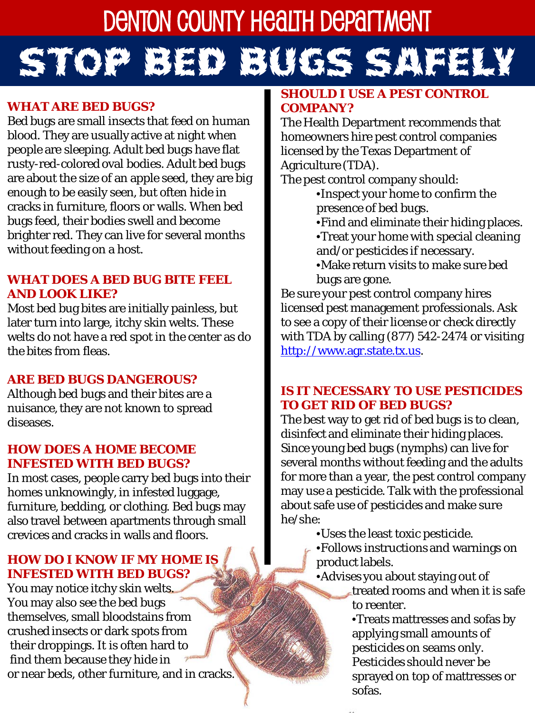# DENTON COUNTY HEALTH DEPAITMENT STOP BED BUGS SAFELY

### **WHAT ARE BED BUGS?**

Bed bugs are small insects that feed on human blood. They are usually active at night when people are sleeping. Adult bed bugs have flat rusty-red-colored oval bodies. Adult bed bugs are about the size of an apple seed, they are big enough to be easily seen, but often hide in cracks in furniture, floors or walls. When bed bugs feed, their bodies swell and become brighter red. They can live for several months without feeding on a host.

## **WHAT DOES A BED BUG BITE FEEL AND LOOK LIKE?**

Most bed bug bites are initially painless, but later turn into large, itchy skin welts. These welts do *not* have a red spot in the center as do the bites from fleas.

## **ARE BED BUGS DANGEROUS?**

Although bed bugs and their bites are a nuisance, they are not known to spread diseases.

#### **HOW DOES A HOME BECOME INFESTED WITH BED BUGS?**

In most cases, people carry bed bugs into their homes unknowingly, in infested luggage, furniture, bedding, or clothing. Bed bugs may also travel between apartments through small crevices and cracks in walls and floors.

# **HOW DO I KNOW IF MY HOME IS INFESTED WITH BED BUGS?**

You may notice itchy skin welts. You may also see the bed bugs themselves, small bloodstains from crushed insects or dark spots from their droppings. It is often hard to find them because they hide in or near beds, other furniture, and in cracks.

## **SHOULD I USE A PEST CONTROL COMPANY?**

The Health Department recommends that homeowners hire pest control companies licensed by the Texas Department of Agriculture (TDA).

The pest control company should:

•Inspect your home to confirm the presence of bed bugs.

•Find and eliminate their hiding places. •Treat your home with special cleaning and/or pesticides if necessary.

•Make return visits to make sure bed bugs are gone.

Be sure your pest control company hires licensed pest management professionals. Ask to see a copy of their license or check directly with TDA by calling (877) 542-2474 or visiting [http://www.agr.state.tx.us](http://www.agr.state.tx.us/).

#### **IS IT NECESSARY TO USE PESTICIDES TO GET RID OF BED BUGS?**

The best way to get rid of bed bugs is to clean, disinfect and eliminate their hiding places. Since young bed bugs (nymphs) can live for several months without feeding and the adults for more than a year, the pest control company may use a pesticide. Talk with the professional about safe use of pesticides and make sure he/she:

•Uses the least toxic pesticide.

- •Follows instructions and warnings on product labels.
- •Advises you about staying out of
	- treated rooms and when it is safe to reenter.
	- •Treats mattresses and sofas by applying small amounts of pesticides on seams only. Pesticides should never be sprayed on top of mattresses or sofas.